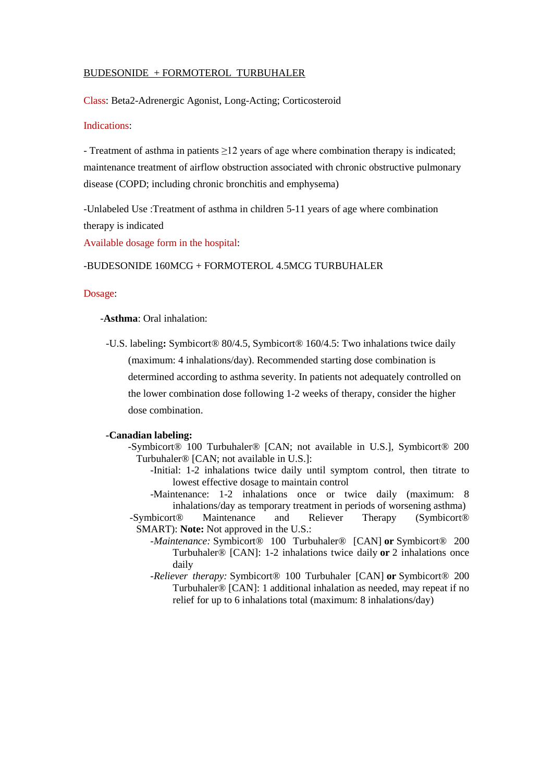## BUDESONIDE + FORMOTEROL TURBUHALER

### Class: [Beta2-Adrenergic Agonist, Long-Acting;](http://lexicomp.medicasur.com.mx/lco/action/search/pharmacat/gdh_f?q=Beta%3Csub%3E2%3C%2Fsub%3E-Adrenergic+Agonist%2C+Long-Acting) [Corticosteroid](http://lexicomp.medicasur.com.mx/lco/action/search/pharmacat/gdh_f?q=Corticosteroid%2C+Inhalant+%28Oral%29)

### Indications:

- Treatment of asthma in patients ≥12 years of age where combination therapy is indicated; maintenance treatment of airflow obstruction associated with chronic obstructive pulmonary disease (COPD; including chronic bronchitis and emphysema)

-Unlabeled Use :Treatment of asthma in children 5-11 years of age where combination therapy is indicated

Available dosage form in the hospital:

### -BUDESONIDE 160MCG + FORMOTEROL 4.5MCG TURBUHALER

### Dosage:

-**Asthma**: Oral inhalation:

-U.S. labeling**:** Symbicort® 80/4.5, Symbicort® 160/4.5: Two inhalations twice daily (maximum: 4 inhalations/day). Recommended starting dose combination is determined according to asthma severity. In patients not adequately controlled on the lower combination dose following 1-2 weeks of therapy, consider the higher dose combination.

### **-Canadian labeling:**

- -Symbicort® 100 Turbuhaler® [CAN; not available in U.S.], Symbicort® 200 Turbuhaler® [CAN; not available in U.S.]:
	- -Initial: 1-2 inhalations twice daily until symptom control, then titrate to lowest effective dosage to maintain control
	- -Maintenance: 1-2 inhalations once or twice daily (maximum: 8) inhalations/day as temporary treatment in periods of worsening asthma)
- -Symbicort® Maintenance and Reliever Therapy (Symbicort® SMART): **Note:** Not approved in the U.S.:
	- *-Maintenance:* Symbicort® 100 Turbuhaler® [CAN] **or** Symbicort® 200 Turbuhaler® [CAN]: 1-2 inhalations twice daily **or** 2 inhalations once daily
	- *-Reliever therapy:* Symbicort® 100 Turbuhaler [CAN] **or** Symbicort® 200 Turbuhaler® [CAN]: 1 additional inhalation as needed, may repeat if no relief for up to 6 inhalations total (maximum: 8 inhalations/day)